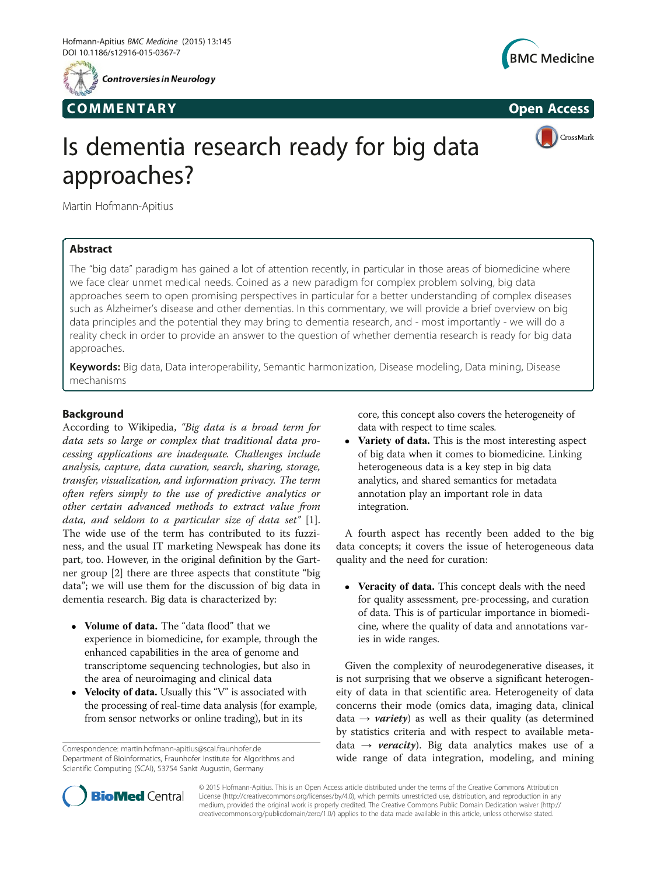



CrossMark

# Is dementia research ready for big data approaches?

Martin Hofmann-Apitius

# Abstract

The "big data" paradigm has gained a lot of attention recently, in particular in those areas of biomedicine where we face clear unmet medical needs. Coined as a new paradigm for complex problem solving, big data approaches seem to open promising perspectives in particular for a better understanding of complex diseases such as Alzheimer's disease and other dementias. In this commentary, we will provide a brief overview on big data principles and the potential they may bring to dementia research, and - most importantly - we will do a reality check in order to provide an answer to the question of whether dementia research is ready for big data approaches.

Keywords: Big data, Data interoperability, Semantic harmonization, Disease modeling, Data mining, Disease mechanisms

# Background

According to Wikipedia, "Big data is a broad term for data sets so large or complex that traditional data processing applications are inadequate. Challenges include analysis, capture, data curation, search, sharing, storage, transfer, visualization, and information privacy. The term often refers simply to the use of predictive analytics or other certain advanced methods to extract value from data, and seldom to a particular size of data set" [\[1](#page-2-0)]. The wide use of the term has contributed to its fuzziness, and the usual IT marketing Newspeak has done its part, too. However, in the original definition by the Gartner group [[2\]](#page-2-0) there are three aspects that constitute "big data"; we will use them for the discussion of big data in dementia research. Big data is characterized by:

- Volume of data. The "data flood" that we experience in biomedicine, for example, through the enhanced capabilities in the area of genome and transcriptome sequencing technologies, but also in the area of neuroimaging and clinical data
- Velocity of data. Usually this " $V$ " is associated with the processing of real-time data analysis (for example, from sensor networks or online trading), but in its

Correspondence: [martin.hofmann-apitius@scai.fraunhofer.de](mailto:martin.hofmann-apitius@scai.fraunhofer.de) Department of Bioinformatics, Fraunhofer Institute for Algorithms and Scientific Computing (SCAI), 53754 Sankt Augustin, Germany

core, this concept also covers the heterogeneity of data with respect to time scales.

 Variety of data. This is the most interesting aspect of big data when it comes to biomedicine. Linking heterogeneous data is a key step in big data analytics, and shared semantics for metadata annotation play an important role in data integration.

A fourth aspect has recently been added to the big data concepts; it covers the issue of heterogeneous data quality and the need for curation:

• Veracity of data. This concept deals with the need for quality assessment, pre-processing, and curation of data. This is of particular importance in biomedicine, where the quality of data and annotations varies in wide ranges.

Given the complexity of neurodegenerative diseases, it is not surprising that we observe a significant heterogeneity of data in that scientific area. Heterogeneity of data concerns their mode (omics data, imaging data, clinical data  $\rightarrow$  variety) as well as their quality (as determined by statistics criteria and with respect to available metadata  $\rightarrow$  veracity). Big data analytics makes use of a wide range of data integration, modeling, and mining



© 2015 Hofmann-Apitius. This is an Open Access article distributed under the terms of the Creative Commons Attribution License (<http://creativecommons.org/licenses/by/4.0>), which permits unrestricted use, distribution, and reproduction in any medium, provided the original work is properly credited. The Creative Commons Public Domain Dedication waiver [\(http://](http://creativecommons.org/publicdomain/zero/1.0/) [creativecommons.org/publicdomain/zero/1.0/\)](http://creativecommons.org/publicdomain/zero/1.0/) applies to the data made available in this article, unless otherwise stated.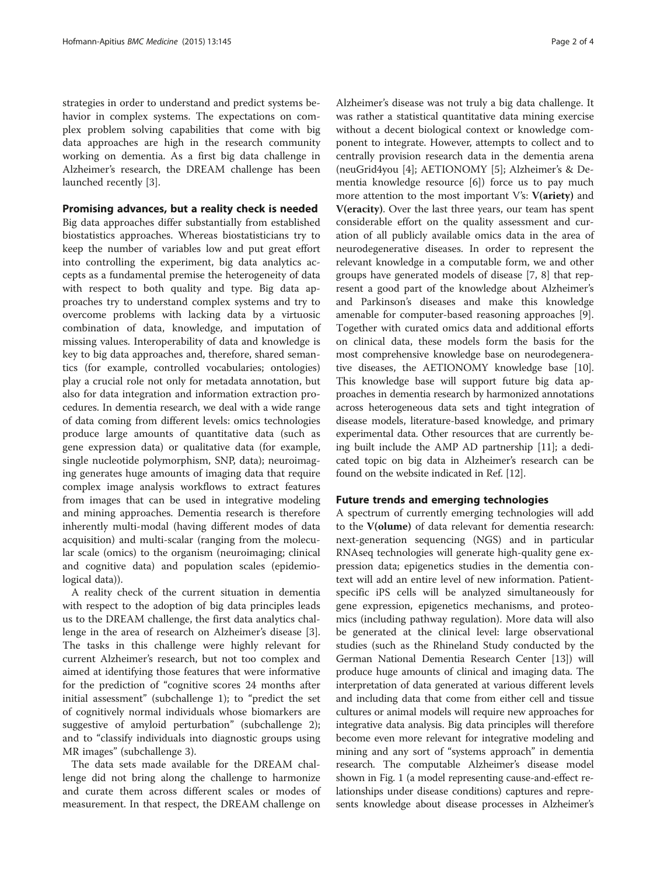strategies in order to understand and predict systems behavior in complex systems. The expectations on complex problem solving capabilities that come with big data approaches are high in the research community working on dementia. As a first big data challenge in Alzheimer's research, the DREAM challenge has been launched recently [\[3](#page-2-0)].

### Promising advances, but a reality check is needed

Big data approaches differ substantially from established biostatistics approaches. Whereas biostatisticians try to keep the number of variables low and put great effort into controlling the experiment, big data analytics accepts as a fundamental premise the heterogeneity of data with respect to both quality and type. Big data approaches try to understand complex systems and try to overcome problems with lacking data by a virtuosic combination of data, knowledge, and imputation of missing values. Interoperability of data and knowledge is key to big data approaches and, therefore, shared semantics (for example, controlled vocabularies; ontologies) play a crucial role not only for metadata annotation, but also for data integration and information extraction procedures. In dementia research, we deal with a wide range of data coming from different levels: omics technologies produce large amounts of quantitative data (such as gene expression data) or qualitative data (for example, single nucleotide polymorphism, SNP, data); neuroimaging generates huge amounts of imaging data that require complex image analysis workflows to extract features from images that can be used in integrative modeling and mining approaches. Dementia research is therefore inherently multi-modal (having different modes of data acquisition) and multi-scalar (ranging from the molecular scale (omics) to the organism (neuroimaging; clinical and cognitive data) and population scales (epidemiological data)).

A reality check of the current situation in dementia with respect to the adoption of big data principles leads us to the DREAM challenge, the first data analytics challenge in the area of research on Alzheimer's disease [\[3](#page-2-0)]. The tasks in this challenge were highly relevant for current Alzheimer's research, but not too complex and aimed at identifying those features that were informative for the prediction of "cognitive scores 24 months after initial assessment" (subchallenge 1); to "predict the set of cognitively normal individuals whose biomarkers are suggestive of amyloid perturbation" (subchallenge 2); and to "classify individuals into diagnostic groups using MR images" (subchallenge 3).

The data sets made available for the DREAM challenge did not bring along the challenge to harmonize and curate them across different scales or modes of measurement. In that respect, the DREAM challenge on

Alzheimer's disease was not truly a big data challenge. It was rather a statistical quantitative data mining exercise without a decent biological context or knowledge component to integrate. However, attempts to collect and to centrally provision research data in the dementia arena (neuGrid4you [[4\]](#page-2-0); AETIONOMY [\[5](#page-2-0)]; Alzheimer's & Dementia knowledge resource [[6](#page-2-0)]) force us to pay much more attention to the most important V's: V(ariety) and V(eracity). Over the last three years, our team has spent considerable effort on the quality assessment and curation of all publicly available omics data in the area of neurodegenerative diseases. In order to represent the relevant knowledge in a computable form, we and other groups have generated models of disease [\[7](#page-2-0), [8\]](#page-3-0) that represent a good part of the knowledge about Alzheimer's and Parkinson's diseases and make this knowledge amenable for computer-based reasoning approaches [\[9](#page-3-0)]. Together with curated omics data and additional efforts on clinical data, these models form the basis for the most comprehensive knowledge base on neurodegenerative diseases, the AETIONOMY knowledge base [[10](#page-3-0)]. This knowledge base will support future big data approaches in dementia research by harmonized annotations across heterogeneous data sets and tight integration of disease models, literature-based knowledge, and primary experimental data. Other resources that are currently being built include the AMP AD partnership [[11](#page-3-0)]; a dedicated topic on big data in Alzheimer's research can be found on the website indicated in Ref. [[12](#page-3-0)].

## Future trends and emerging technologies

A spectrum of currently emerging technologies will add to the V(olume) of data relevant for dementia research: next-generation sequencing (NGS) and in particular RNAseq technologies will generate high-quality gene expression data; epigenetics studies in the dementia context will add an entire level of new information. Patientspecific iPS cells will be analyzed simultaneously for gene expression, epigenetics mechanisms, and proteomics (including pathway regulation). More data will also be generated at the clinical level: large observational studies (such as the Rhineland Study conducted by the German National Dementia Research Center [\[13\]](#page-3-0)) will produce huge amounts of clinical and imaging data. The interpretation of data generated at various different levels and including data that come from either cell and tissue cultures or animal models will require new approaches for integrative data analysis. Big data principles will therefore become even more relevant for integrative modeling and mining and any sort of "systems approach" in dementia research. The computable Alzheimer's disease model shown in Fig. [1](#page-2-0) (a model representing cause-and-effect relationships under disease conditions) captures and represents knowledge about disease processes in Alzheimer's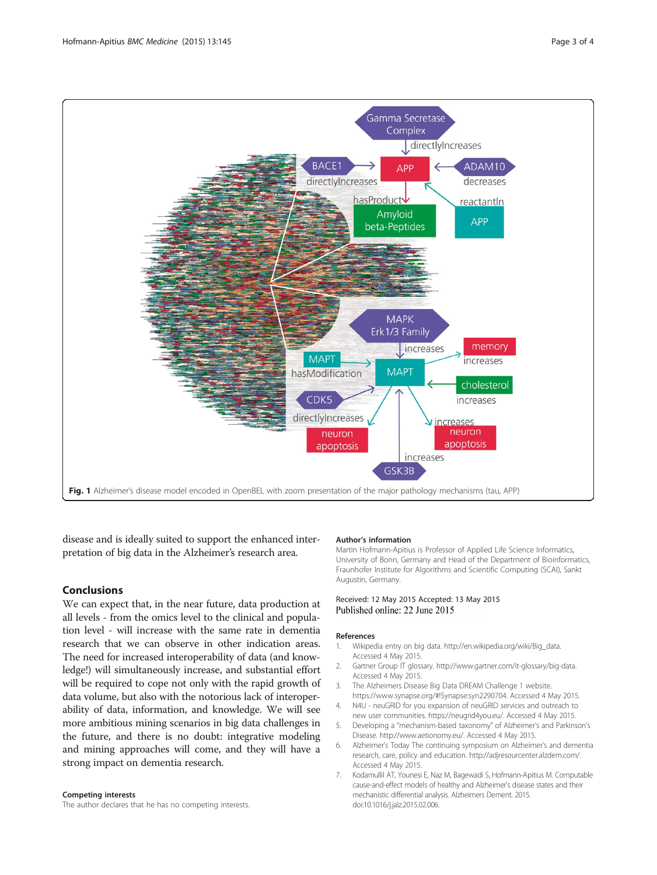<span id="page-2-0"></span>

disease and is ideally suited to support the enhanced interpretation of big data in the Alzheimer's research area.

# Conclusions

We can expect that, in the near future, data production at all levels - from the omics level to the clinical and population level - will increase with the same rate in dementia research that we can observe in other indication areas. The need for increased interoperability of data (and knowledge!) will simultaneously increase, and substantial effort will be required to cope not only with the rapid growth of data volume, but also with the notorious lack of interoperability of data, information, and knowledge. We will see more ambitious mining scenarios in big data challenges in the future, and there is no doubt: integrative modeling and mining approaches will come, and they will have a strong impact on dementia research.

#### Competing interests

The author declares that he has no competing interests.

#### Author's information

Martin Hofmann-Apitius is Professor of Applied Life Science Informatics, University of Bonn, Germany and Head of the Department of Bioinformatics, Fraunhofer Institute for Algorithms and Scientific Computing (SCAI), Sankt Augustin, Germany.

#### Received: 12 May 2015 Accepted: 13 May 2015 Published online: 22 June 2015

#### References

- 1. Wikipedia entry on big data. [http://en.wikipedia.org/wiki/Big\\_data.](http://en.wikipedia.org/wiki/Big_data) Accessed 4 May 2015.
- 2. Gartner Group IT glossary. [http://www.gartner.com/it-glossary/big-data.](http://www.gartner.com/it-glossary/big-data) Accessed 4 May 2015.
- 3. The Alzheimers Disease Big Data DREAM Challenge 1 website. <https://www.synapse.org/#!Synapse:syn2290704>. Accessed 4 May 2015.
- 4. N4U neuGRID for you expansion of neuGRID services and outreach to new user communities.<https://neugrid4you.eu/>. Accessed 4 May 2015.
- 5. Developing a "mechanism-based taxonomy" of Alzheimer's and Parkinson's Disease.<http://www.aetionomy.eu/>. Accessed 4 May 2015.
- 6. Alzheimer's Today The continuing symposium on Alzheimer's and dementia research, care, policy and education. [http://adjresourcenter.alzdem.com/.](http://adjresourcenter.alzdem.com/) Accessed 4 May 2015.
- 7. Kodamullil AT, Younesi E, Naz M, Bagewadi S, Hofmann-Apitius M. Computable cause-and-effect models of healthy and Alzheimer's disease states and their mechanistic differential analysis. Alzheimers Dement. 2015. doi:[10.1016/j.jalz.2015.02.006](http://dx.doi.org/10.1016/j.jalz.2015.02.006).